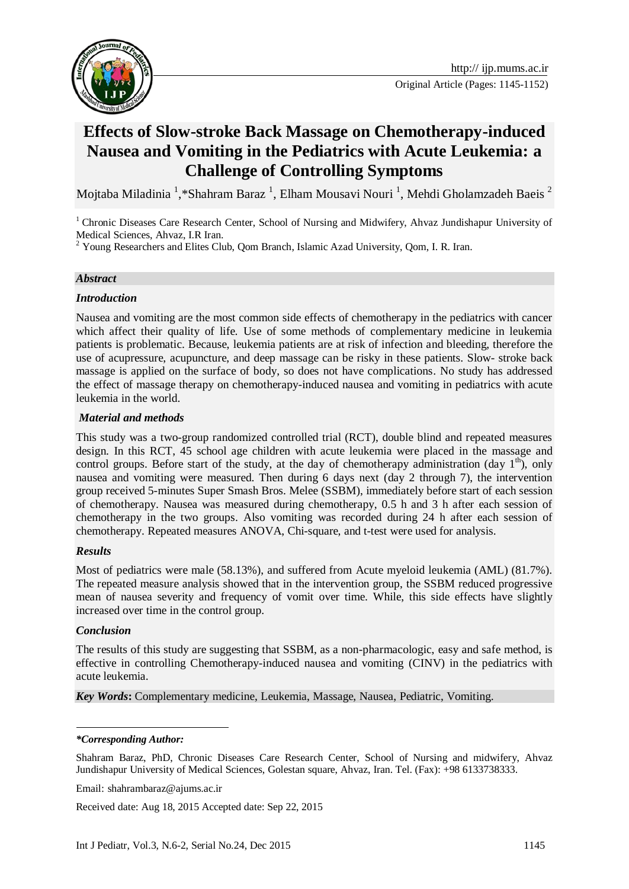

# **Effects of Slow-stroke Back Massage on Chemotherapy-induced Nausea and Vomiting in the Pediatrics with Acute Leukemia: a Challenge of Controlling Symptoms**

Mojtaba Miladinia  $^{1},$ \*Shahram Baraz  $^{1},$  Elham Mousavi Nouri  $^{1},$  Mehdi Gholamzadeh Baeis  $^{2}$ 

<sup>1</sup> Chronic Diseases Care Research Center, School of Nursing and Midwifery, Ahvaz Jundishapur University of Medical Sciences, Ahvaz, I.R Iran.

<sup>2</sup> Young Researchers and Elites Club, Qom Branch, Islamic Azad University, Qom, I. R. Iran.

#### *Abstract*

#### *Introduction*

Nausea and vomiting are the most common side effects of chemotherapy in the pediatrics with cancer which affect their quality of life. Use of some methods of complementary medicine in leukemia patients is problematic. Because, leukemia patients are at risk of infection and bleeding, therefore the use of acupressure, acupuncture, and deep massage can be risky in these patients. Slow- stroke back massage is applied on the surface of body, so does not have complications. No study has addressed the effect of massage therapy on chemotherapy-induced nausea and vomiting in pediatrics with acute leukemia in the world.

#### *Material and methods*

This study was a two-group randomized controlled trial (RCT), double blind and repeated measures design. In this RCT, 45 school age children with acute leukemia were placed in the massage and control groups. Before start of the study, at the day of chemotherapy administration (day  $1<sup>th</sup>$ ), only nausea and vomiting were measured. Then during 6 days next (day 2 through 7), the intervention group received 5-minutes Super Smash Bros. Melee (SSBM), immediately before start of each session of chemotherapy. Nausea was measured during chemotherapy, 0.5 h and 3 h after each session of chemotherapy in the two groups. Also vomiting was recorded during 24 h after each session of chemotherapy. Repeated measures ANOVA, Chi-square, and t-test were used for analysis.

#### *Results*

Most of pediatrics were male (58.13%), and suffered from Acute myeloid leukemia (AML) (81.7%). The repeated measure analysis showed that in the intervention group, the SSBM reduced progressive mean of nausea severity and frequency of vomit over time. While, this side effects have slightly increased over time in the control group.

#### *Conclusion*

1

The results of this study are suggesting that SSBM, as a non-pharmacologic, easy and safe method, is effective in controlling Chemotherapy-induced nausea and vomiting (CINV) in the pediatrics with acute leukemia.

*Key Words***:** Complementary medicine, Leukemia, Massage, Nausea, Pediatric, Vomiting.

Email: [shahrambaraz@ajums.ac.ir](mailto:shahrambaraz@ajums.ac.ir)

Received date: Aug 18, 2015 Accepted date: Sep 22, 2015

*<sup>\*</sup>Corresponding Author:*

Shahram Baraz, PhD, Chronic Diseases Care Research Center, School of Nursing and midwifery, Ahvaz Jundishapur University of Medical Sciences, Golestan square, Ahvaz, Iran. Tel. (Fax): +98 6133738333.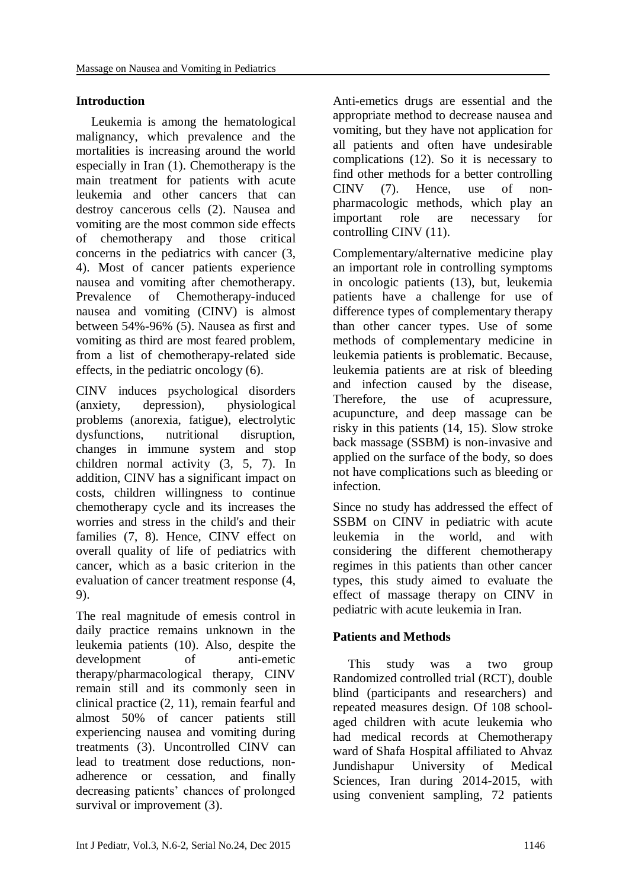# **Introduction**

Leukemia is among the hematological malignancy, which prevalence and the mortalities is increasing around the world especially in Iran [\(1\)](#page-6-0). Chemotherapy is the main treatment for patients with acute leukemia and other cancers that can destroy cancerous cells [\(2\)](#page-6-1). Nausea and vomiting are the most common side effects of chemotherapy and those critical concerns in the pediatrics with cancer [\(3,](#page-6-2) [4\)](#page-6-3). Most of cancer patients experience nausea and vomiting after chemotherapy. Prevalence of Chemotherapy-induced nausea and vomiting (CINV) is almost between 54%-96% [\(5\)](#page-6-4). Nausea as first and vomiting as third are most feared problem, from a list of chemotherapy-related side effects, in the pediatric oncology [\(6\)](#page-6-5).

CINV induces psychological disorders (anxiety, depression), physiological problems (anorexia, fatigue), electrolytic dysfunctions, nutritional disruption, changes in immune system and stop children normal activity [\(3,](#page-6-2) [5,](#page-6-4) [7\)](#page-6-6). In addition, CINV has a significant impact on costs, children willingness to continue chemotherapy cycle and its increases the worries and stress in the child's and their families [\(7,](#page-6-6) [8\)](#page-6-7). Hence, CINV effect on overall quality of life of pediatrics with cancer, which as a basic criterion in the evaluation of cancer treatment response [\(4,](#page-6-3) [9\)](#page-6-8).

The real magnitude of emesis control in daily practice remains unknown in the leukemia patients [\(10\)](#page-6-9). Also, despite the development of anti-emetic therapy/pharmacological therapy, CINV remain still and its commonly seen in clinical practice [\(2,](#page-6-1) [11\)](#page-7-0), remain fearful and almost 50% of cancer patients still experiencing nausea and vomiting during treatments [\(3\)](#page-6-2). Uncontrolled CINV can lead to treatment dose reductions, nonadherence or cessation, and finally decreasing patients' chances of prolonged survival or improvement  $(3)$ .

Anti-emetics drugs are essential and the appropriate method to decrease nausea and vomiting, but they have not application for all patients and often have undesirable complications [\(12\)](#page-7-1). So it is necessary to find other methods for a better controlling CINV [\(7\)](#page-6-6). Hence, use of nonpharmacologic methods, which play an important role are necessary for controlling CINV [\(11\)](#page-7-0).

Complementary/alternative medicine play an important role in controlling symptoms in oncologic patients [\(13\)](#page-7-2), but, leukemia patients have a challenge for use of difference types of complementary therapy than other cancer types. Use of some methods of complementary medicine in leukemia patients is problematic. Because, leukemia patients are at risk of bleeding and infection caused by the disease, Therefore, the use of acupressure, acupuncture, and deep massage can be risky in this patients [\(14,](#page-7-3) [15\)](#page-7-4). Slow stroke back massage (SSBM) is non-invasive and applied on the surface of the body, so does not have complications such as bleeding or infection.

Since no study has addressed the effect of SSBM on CINV in pediatric with acute leukemia in the world, and with considering the different chemotherapy regimes in this patients than other cancer types, this study aimed to evaluate the effect of massage therapy on CINV in pediatric with acute leukemia in Iran.

# **Patients and Methods**

This study was a two group Randomized controlled trial (RCT), double blind (participants and researchers) and repeated measures design. Of 108 schoolaged children with acute leukemia who had medical records at Chemotherapy ward of Shafa Hospital affiliated to Ahvaz Jundishapur University of Medical Sciences, Iran during 2014-2015, with using convenient sampling, 72 patients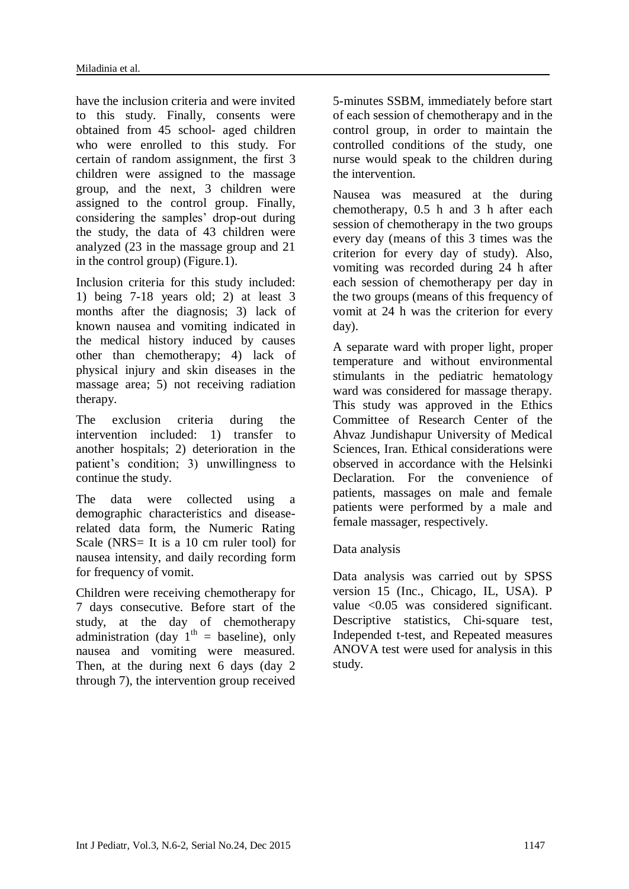have the inclusion criteria and were invited to this study. Finally, consents were obtained from 45 school- aged children who were enrolled to this study. For certain of random assignment, the first 3 children were assigned to the massage group, and the next, 3 children were assigned to the control group. Finally, considering the samples' drop-out during the study, the data of 43 children were analyzed (23 in the massage group and 21 in the control group) (Figure.1).

Inclusion criteria for this study included: 1) being 7-18 years old; 2) at least 3 months after the diagnosis; 3) lack of known nausea and vomiting indicated in the medical history induced by causes other than chemotherapy; 4) lack of physical injury and skin diseases in the massage area; 5) not receiving radiation therapy.

The exclusion criteria during the intervention included: 1) transfer to another hospitals; 2) deterioration in the patient's condition; 3) unwillingness to continue the study.

The data were collected using a demographic characteristics and diseaserelated data form, the Numeric Rating Scale (NRS= It is a 10 cm ruler tool) for nausea intensity, and daily recording form for frequency of vomit.

Children were receiving chemotherapy for 7 days consecutive. Before start of the study, at the day of chemotherapy administration (day  $1<sup>th</sup> =$  baseline), only nausea and vomiting were measured. Then, at the during next 6 days (day 2 through 7), the intervention group received

5-minutes SSBM, immediately before start of each session of chemotherapy and in the control group, in order to maintain the controlled conditions of the study, one nurse would speak to the children during the intervention.

Nausea was measured at the during chemotherapy, 0.5 h and 3 h after each session of chemotherapy in the two groups every day (means of this 3 times was the criterion for every day of study). Also, vomiting was recorded during 24 h after each session of chemotherapy per day in the two groups (means of this frequency of vomit at 24 h was the criterion for every day).

A separate ward with proper light, proper temperature and without environmental stimulants in the pediatric hematology ward was considered for massage therapy. This study was approved in the Ethics Committee of Research Center of the Ahvaz Jundishapur University of Medical Sciences, Iran. Ethical considerations were observed in accordance with the Helsinki Declaration. For the convenience of patients, massages on male and female patients were performed by a male and female massager, respectively.

### Data analysis

Data analysis was carried out by SPSS version 15 (Inc., Chicago, IL, USA). P value <0.05 was considered significant. Descriptive statistics, Chi-square test, Independed t-test, and Repeated measures ANOVA test were used for analysis in this study.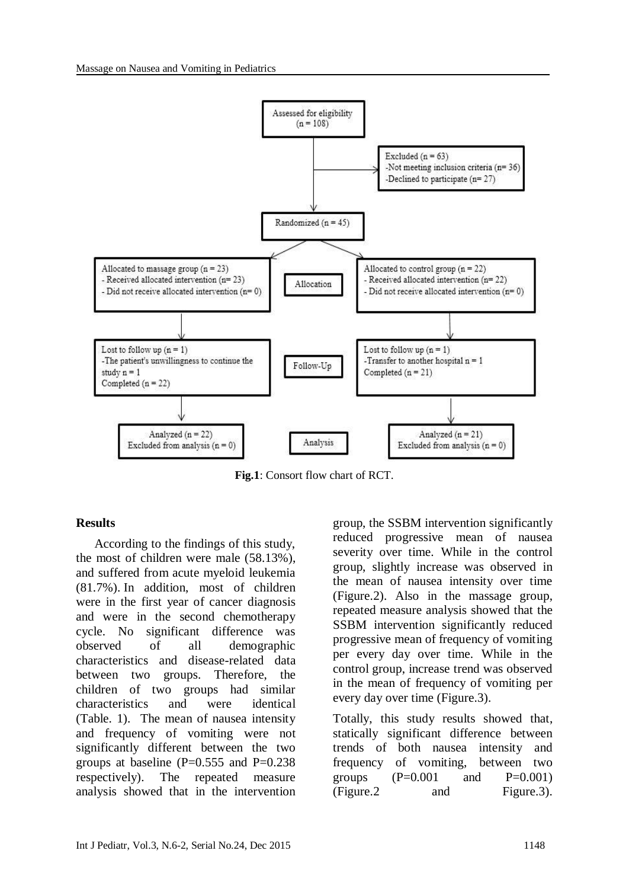

**Fig.1**: Consort flow chart of RCT.

### **Results**

According to the findings of this study, the most of children were male (58.13%), and suffered from acute myeloid leukemia (81.7%). In addition, most of children were in the first year of cancer diagnosis and were in the second chemotherapy cycle. No significant difference was observed of all demographic characteristics and disease-related data between two groups. Therefore, the children of two groups had similar characteristics and were identical (Table. 1). The mean of nausea intensity and frequency of vomiting were not significantly different between the two groups at baseline  $(P=0.555$  and  $P=0.238$ respectively). The repeated measure analysis showed that in the intervention

group, the SSBM intervention significantly reduced progressive mean of nausea severity over time. While in the control group, slightly increase was observed in the mean of nausea intensity over time (Figure.2). Also in the massage group, repeated measure analysis showed that the SSBM intervention significantly reduced progressive mean of frequency of vomiting per every day over time. While in the control group, increase trend was observed in the mean of frequency of vomiting per every day over time (Figure.3).

Totally, this study results showed that, statically significant difference between trends of both nausea intensity and frequency of vomiting, between two groups  $(P=0.001$  and  $P=0.001$ (Figure.2 and Figure.3).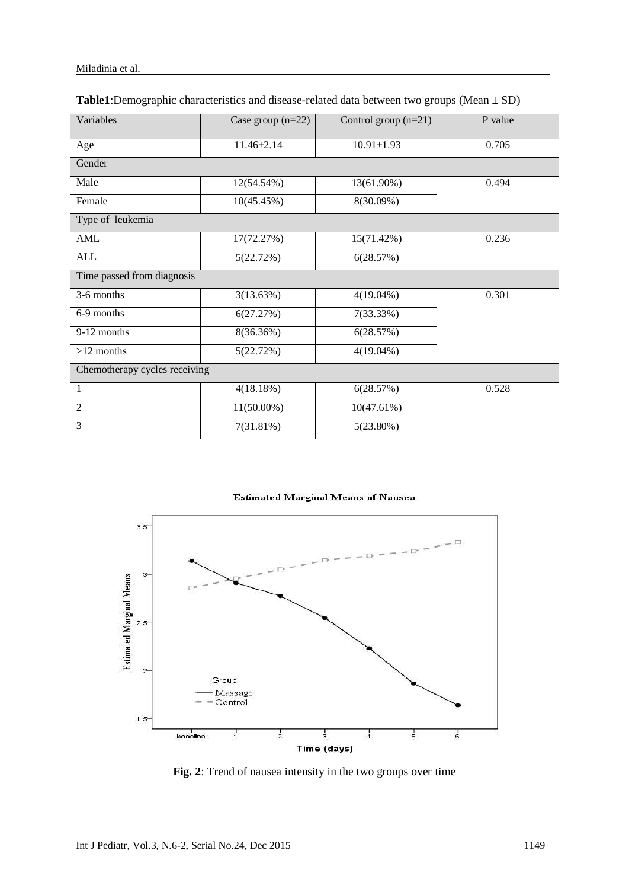| Miladinia et al. |  |  |
|------------------|--|--|
|------------------|--|--|

| Variables                     | Case group $(n=22)$ | Control group $(n=21)$ | P value |  |  |  |  |
|-------------------------------|---------------------|------------------------|---------|--|--|--|--|
| Age                           | $11.46 \pm 2.14$    | $10.91 \pm 1.93$       | 0.705   |  |  |  |  |
| Gender                        |                     |                        |         |  |  |  |  |
| Male                          | 12(54.54%)          | 13(61.90%)             | 0.494   |  |  |  |  |
| Female                        | 10(45.45%)          | 8(30.09%)              |         |  |  |  |  |
| Type of leukemia              |                     |                        |         |  |  |  |  |
| <b>AML</b>                    | 17(72.27%)          | 15(71.42%)             | 0.236   |  |  |  |  |
| <b>ALL</b>                    | 5(22.72%)           | 6(28.57%)              |         |  |  |  |  |
| Time passed from diagnosis    |                     |                        |         |  |  |  |  |
| 3-6 months                    | 3(13.63%)           | $4(19.04\%)$           | 0.301   |  |  |  |  |
| 6-9 months                    | 6(27.27%)           | 7(33.33%)              |         |  |  |  |  |
| 9-12 months                   | 8(36.36%)           | 6(28.57%)              |         |  |  |  |  |
| $>12$ months                  | 5(22.72%)           | $4(19.04\%)$           |         |  |  |  |  |
| Chemotherapy cycles receiving |                     |                        |         |  |  |  |  |
| $\mathbf{1}$                  | 4(18.18%)           | 6(28.57%)              | 0.528   |  |  |  |  |
| $\overline{2}$                | $11(50.00\%)$       | 10(47.61%)             |         |  |  |  |  |
| 3                             | 7(31.81%)           | $5(23.80\%)$           |         |  |  |  |  |

| <b>Table1</b> :Demographic characteristics and disease-related data between two groups (Mean $\pm$ SD) |  |  |  |
|--------------------------------------------------------------------------------------------------------|--|--|--|
|                                                                                                        |  |  |  |

**Estimated Marginal Means of Nausea** 



**Fig. 2**: Trend of nausea intensity in the two groups over time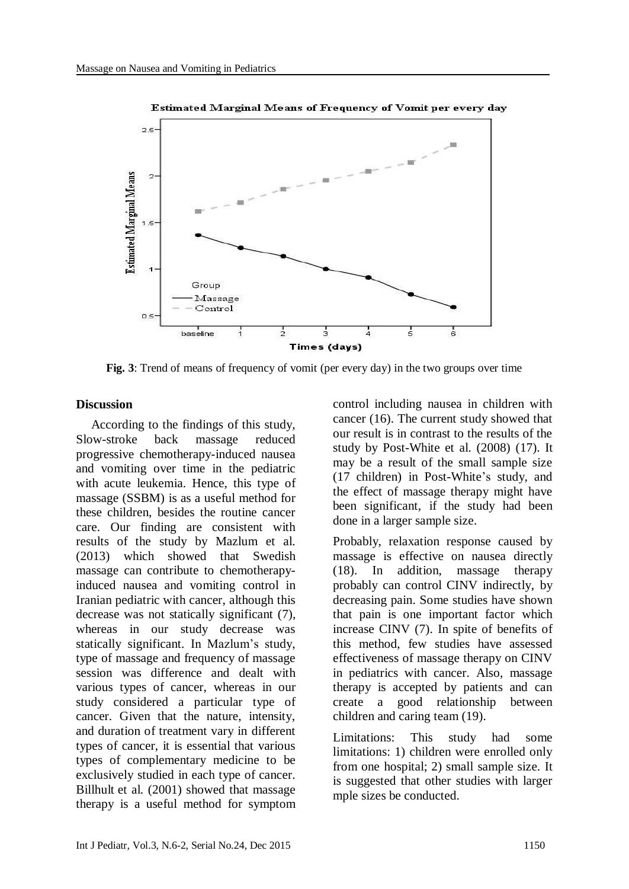

Estimated Marginal Means of Frequency of Vomit per every day

**Fig. 3**: Trend of means of frequency of vomit (per every day) in the two groups over time

#### **Discussion**

According to the findings of this study, Slow-stroke back massage reduced progressive chemotherapy-induced nausea and vomiting over time in the pediatric with acute leukemia. Hence, this type of massage (SSBM) is as a useful method for these children, besides the routine cancer care. Our finding are consistent with results of the study by Mazlum et al. (2013) which showed that Swedish massage can contribute to chemotherapyinduced nausea and vomiting control in Iranian pediatric with cancer, although this decrease was not statically significant [\(7\)](#page-6-6), whereas in our study decrease was statically significant. In Mazlum's study, type of massage and frequency of massage session was difference and dealt with various types of cancer, whereas in our study considered a particular type of cancer. Given that the nature, intensity, and duration of treatment vary in different types of cancer, it is essential that various types of complementary medicine to be exclusively studied in each type of cancer. Billhult et al. (2001) showed that massage therapy is a useful method for symptom control including nausea in children with cancer [\(16\)](#page-7-5). The current study showed that our result is in contrast to the results of the study by Post-White et al. (2008) [\(17\)](#page-7-6). It may be a result of the small sample size (17 children) in Post-White's study, and the effect of massage therapy might have been significant, if the study had been done in a larger sample size.

Probably, relaxation response caused by massage is effective on nausea directly [\(18\)](#page-7-7). In addition, massage therapy probably can control CINV indirectly, by decreasing pain. Some studies have shown that pain is one important factor which increase CINV [\(7\)](#page-6-6). In spite of benefits of this method, few studies have assessed effectiveness of massage therapy on CINV in pediatrics with cancer. Also, massage therapy is accepted by patients and can create a good relationship between children and caring team [\(19\)](#page-7-8).

Limitations: This study had some limitations: 1) children were enrolled only from one hospital; 2) small sample size. It is suggested that other studies with larger mple sizes be conducted.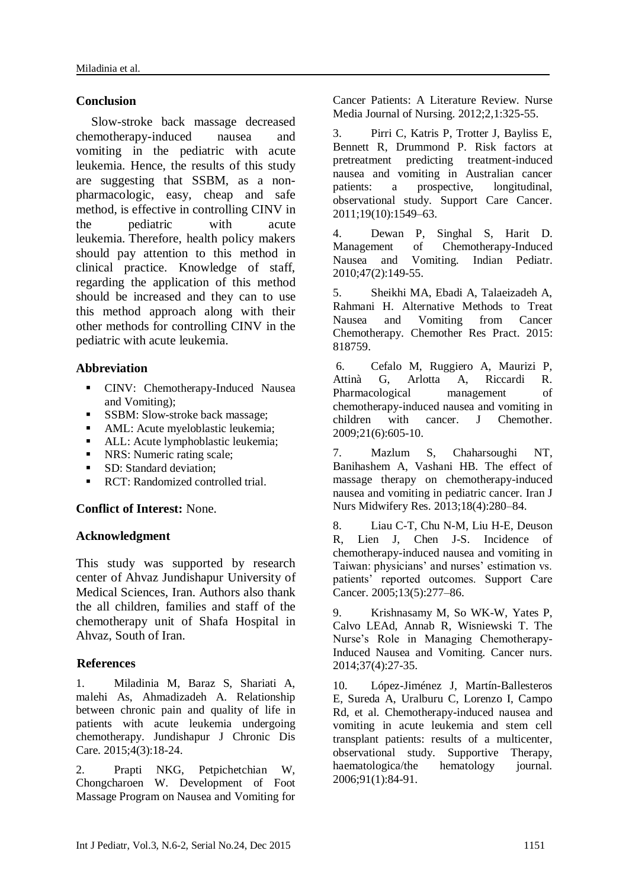### **Conclusion**

Slow-stroke back massage decreased chemotherapy-induced nausea and vomiting in the pediatric with acute leukemia. Hence, the results of this study are suggesting that SSBM, as a nonpharmacologic, easy, cheap and safe method, is effective in controlling CINV in the pediatric with acute leukemia. Therefore, health policy makers should pay attention to this method in clinical practice. Knowledge of staff, regarding the application of this method should be increased and they can to use this method approach along with their other methods for controlling CINV in the pediatric with acute leukemia.

### **Abbreviation**

- **CINV:** Chemotherapy-Induced Nausea and Vomiting);
- SSBM: Slow-stroke back massage;
- AML: Acute myeloblastic leukemia;
- ALL: Acute lymphoblastic leukemia;
- NRS: Numeric rating scale;
- SD: Standard deviation;
- RCT: Randomized controlled trial

### **Conflict of Interest:** None.

### **Acknowledgment**

This study was supported by research center of Ahvaz Jundishapur University of Medical Sciences, Iran. Authors also thank the all children, families and staff of the chemotherapy unit of Shafa Hospital in Ahvaz, South of Iran.

### **References**

<span id="page-6-0"></span>1. Miladinia M, Baraz S, Shariati A, malehi As, Ahmadizadeh A. Relationship between chronic pain and quality of life in patients with acute leukemia undergoing chemotherapy. Jundishapur J Chronic Dis Care. 2015;4(3):18-24.

<span id="page-6-1"></span>2. Prapti NKG, Petpichetchian W, Chongcharoen W. Development of Foot Massage Program on Nausea and Vomiting for

Cancer Patients: A Literature Review. Nurse Media Journal of Nursing. 2012;2,1:325-55.

<span id="page-6-2"></span>3. Pirri C, Katris P, Trotter J, Bayliss E, Bennett R, Drummond P. Risk factors at pretreatment predicting treatment-induced nausea and vomiting in Australian cancer patients: a prospective, longitudinal, observational study. Support Care Cancer. 2011;19(10):1549–63.

<span id="page-6-3"></span>4. Dewan P, Singhal S, Harit D. Management of Chemotherapy-Induced Nausea and Vomiting. Indian Pediatr. 2010;47(2):149-55.

<span id="page-6-4"></span>5. Sheikhi MA, Ebadi A, Talaeizadeh A, Rahmani H. Alternative Methods to Treat Nausea and Vomiting from Cancer Chemotherapy. Chemother Res Pract. 2015: 818759.

<span id="page-6-5"></span>6. Cefalo M, Ruggiero A, Maurizi P, Attinà G, Arlotta A, Riccardi R. Pharmacological management of chemotherapy-induced nausea and vomiting in children with cancer. J Chemother. 2009;21(6):605-10.

<span id="page-6-6"></span>7. Mazlum S, Chaharsoughi NT, Banihashem A, Vashani HB. The effect of massage therapy on chemotherapy-induced nausea and vomiting in pediatric cancer. Iran J Nurs Midwifery Res. 2013;18(4):280–84.

<span id="page-6-7"></span>8. Liau C-T, Chu N-M, Liu H-E, Deuson R, Lien J, Chen J-S. Incidence of chemotherapy-induced nausea and vomiting in Taiwan: physicians' and nurses' estimation vs. patients' reported outcomes. Support Care Cancer. 2005;13(5):277–86.

<span id="page-6-8"></span>9. Krishnasamy M, So WK-W, Yates P, Calvo LEAd, Annab R, Wisniewski T. The Nurse's Role in Managing Chemotherapy-Induced Nausea and Vomiting. Cancer nurs. 2014;37(4):27-35.

<span id="page-6-9"></span>10. López-Jiménez J, Martín-Ballesteros E, Sureda A, Uralburu C, Lorenzo I, Campo Rd, et al. Chemotherapy-induced nausea and vomiting in acute leukemia and stem cell transplant patients: results of a multicenter, observational study. Supportive Therapy, haematologica/the hematology journal. 2006;91(1):84-91.